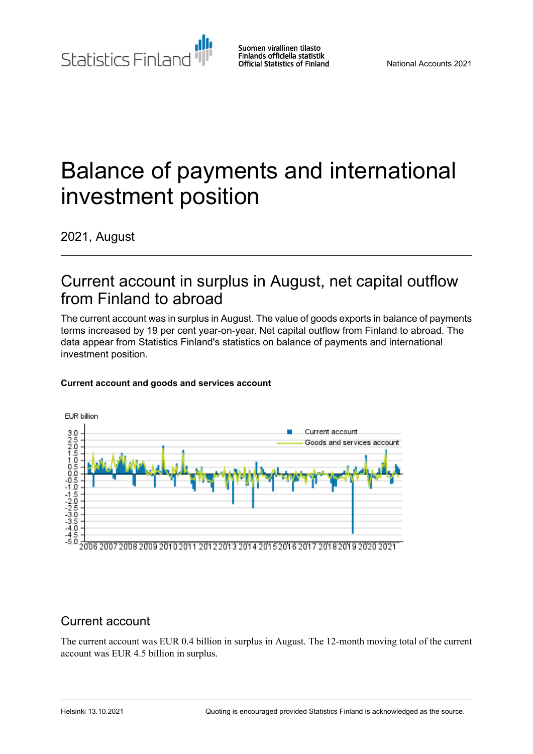Statistics Finland

Suomen virallinen tilasto Finlands officiella statistik **Official Statistics of Finland** 

# Balance of payments and international investment position

2021, August

### Current account in surplus in August, net capital outflow from Finland to abroad

The current account was in surplus in August. The value of goods exports in balance of payments terms increased by 19 per cent year-on-year. Net capital outflow from Finland to abroad. The data appear from Statistics Finland's statistics on balance of payments and international investment position.



### **Current account and goods and services account**

### Current account

The current account was EUR 0.4 billion in surplus in August. The 12-month moving total of the current account was EUR 4.5 billion in surplus.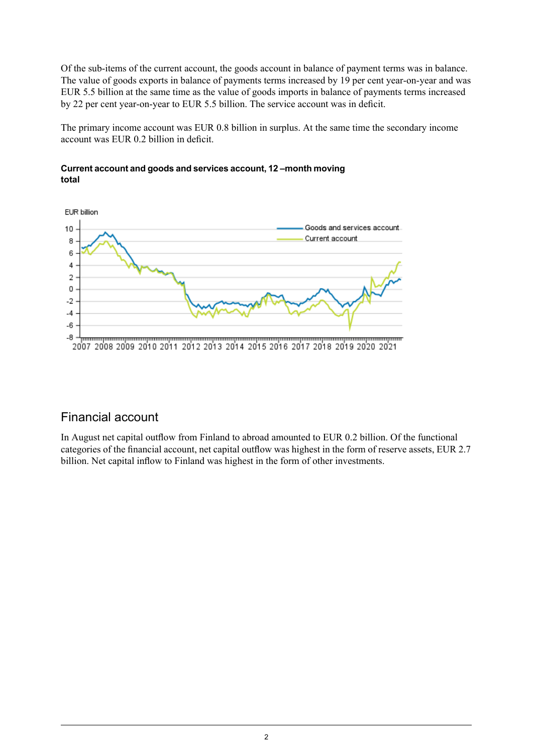Of the sub-items of the current account, the goods account in balance of payment terms was in balance. The value of goods exports in balance of payments terms increased by 19 per cent year-on-year and was EUR 5.5 billion at the same time as the value of goods imports in balance of payments terms increased by 22 per cent year-on-year to EUR 5.5 billion. The service account was in deficit.

The primary income account was EUR 0.8 billion in surplus. At the same time the secondary income account was EUR 0.2 billion in deficit.



### **Currentaccountand goodsand servicesaccount,12–month moving total**

### Financial account

In August net capital outflow from Finland to abroad amounted to EUR 0.2 billion. Of the functional categories of the financial account, net capital outflow was highest in the form of reserve assets, EUR 2.7 billion. Net capital inflow to Finland was highest in the form of other investments.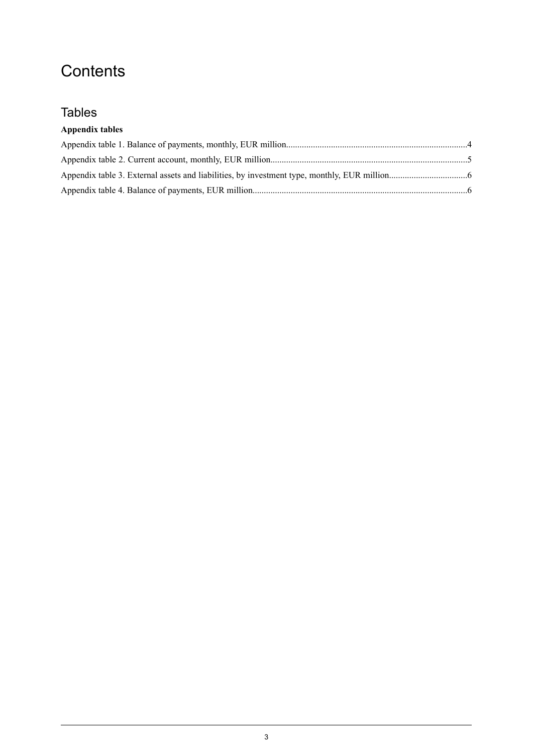# **Contents**

### Tables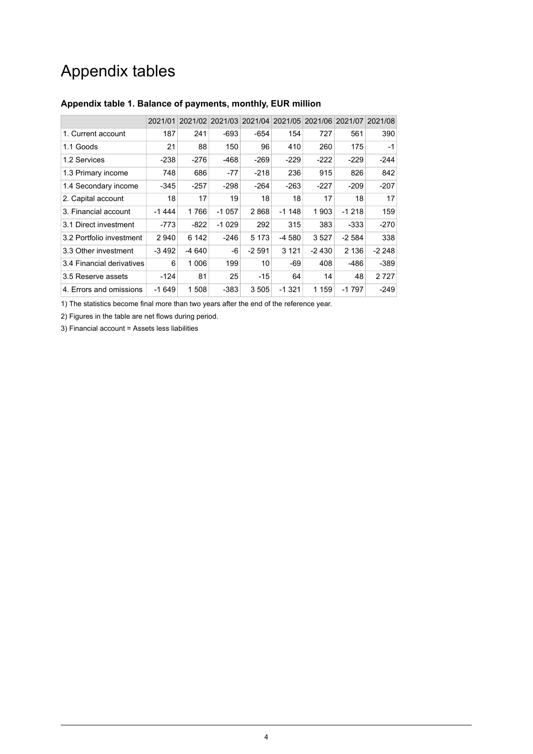## Appendix tables

|                           | 2021/01 |         |         | 2021/02 2021/03 2021/04 |         |         | 2021/05 2021/06 2021/07 2021/08 |         |
|---------------------------|---------|---------|---------|-------------------------|---------|---------|---------------------------------|---------|
| 1. Current account        | 187     | 241     | $-693$  | $-654$                  | 154     | 727     | 561                             | 390     |
| 1.1 Goods                 | 21      | 88      | 150     | 96                      | 410     | 260     | 175                             | $-1$    |
| 1.2 Services              | -238    | -276    | -468    | -269                    | $-229$  | -222    | $-229$                          | $-244$  |
| 1.3 Primary income        | 748     | 686     | -77     | $-218$                  | 236     | 915     | 826                             | 842     |
| 1.4 Secondary income      | -345    | $-257$  | $-298$  | $-264$                  | $-263$  | $-227$  | $-209$                          | $-207$  |
| 2. Capital account        | 18      | 17      | 19      | 18                      | 18      | 17      | 18                              | 17      |
| 3. Financial account      | $-1444$ | 1766    | $-1057$ | 2868                    | $-1148$ | 1903    | $-1218$                         | 159     |
| 3.1 Direct investment     | $-773$  | $-822$  | $-1029$ | 292                     | 315     | 383     | -333                            | $-270$  |
| 3.2 Portfolio investment  | 2940    | 6 142   | -246    | 5 1 7 3                 | -4 580  | 3527    | -2 584                          | 338     |
| 3.3 Other investment      | $-3492$ | -4 640  | -6      | $-2591$                 | 3 1 2 1 | $-2430$ | 2 1 3 6                         | $-2248$ |
| 3.4 Financial derivatives | 6       | 1 0 0 6 | 199     | 10                      | -69     | 408     | $-486$                          | $-389$  |
| 3.5 Reserve assets        | -124    | 81      | 25      | $-15$                   | 64      | 14      | 48                              | 2727    |
| 4. Errors and omissions   | $-1649$ | 1508    | $-383$  | 3505                    | $-1321$ | 1 159   | $-1797$                         | $-249$  |

### <span id="page-3-0"></span>**Appendix table 1. Balance of payments, monthly, EUR million**

1) The statistics become final more than two years after the end of the reference year.

2) Figures in the table are net flows during period.

3) Financial account = Assets less liabilities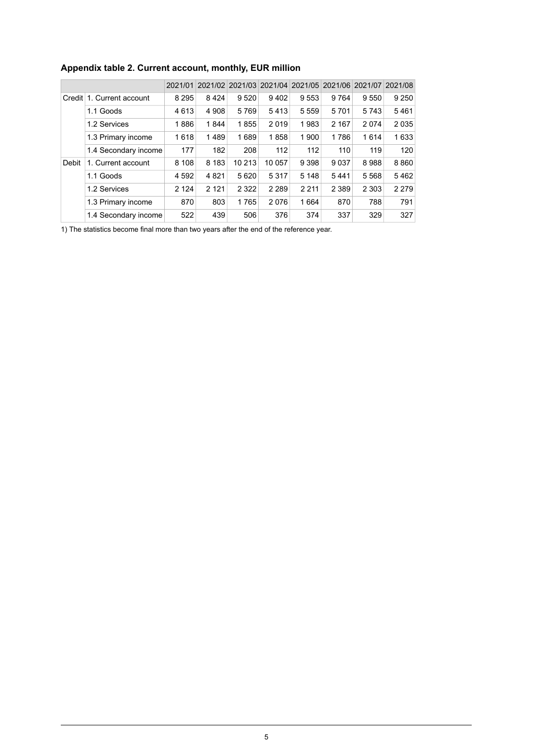|       |                           |         |         |         |         | 2021/01 2021/02 2021/03 2021/04 2021/05 2021/06 2021/07 2021/08 |         |         |         |
|-------|---------------------------|---------|---------|---------|---------|-----------------------------------------------------------------|---------|---------|---------|
|       | Credit 1. Current account | 8 2 9 5 | 8424    | 9520    | 9402    | 9553                                                            | 9 7 6 4 | 9 5 5 0 | 9 2 5 0 |
|       | 1.1 Goods                 | 4613    | 4 9 0 8 | 5769    | 5413    | 5 5 5 9                                                         | 5701    | 5743    | 5461    |
|       | 1.2 Services              | 1886    | 1844    | 1855    | 2019    | 1983                                                            | 2 1 6 7 | 2074    | 2035    |
|       | 1.3 Primary income        | 1618    | 1489    | 1689    | 1858    | 1 900                                                           | 1786    | 1614    | 1633    |
|       | 1.4 Secondary income      | 177     | 182     | 208     | 112     | 112                                                             | 110     | 119     | 120     |
| Debit | 1. Current account        | 8 1 0 8 | 8 1 8 3 | 10 213  | 10 057  | 9 3 9 8                                                         | 9 0 3 7 | 8988    | 8860    |
|       | 1.1 Goods                 | 4 5 9 2 | 4 8 21  | 5620    | 5317    | 5 1 4 8                                                         | 5441    | 5568    | 5462    |
|       | 1.2 Services              | 2 1 2 4 | 2 1 2 1 | 2 3 2 2 | 2 2 8 9 | 2 2 1 1                                                         | 2 3 8 9 | 2 3 0 3 | 2 2 7 9 |
|       | 1.3 Primary income        | 870     | 803     | 1765    | 2076    | 1664                                                            | 870     | 788     | 791     |
|       | 1.4 Secondary income      | 522     | 439     | 506     | 376     | 374                                                             | 337     | 329     | 327     |

### <span id="page-4-0"></span>**Appendix table 2. Current account, monthly, EUR million**

1) The statistics become final more than two years after the end of the reference year.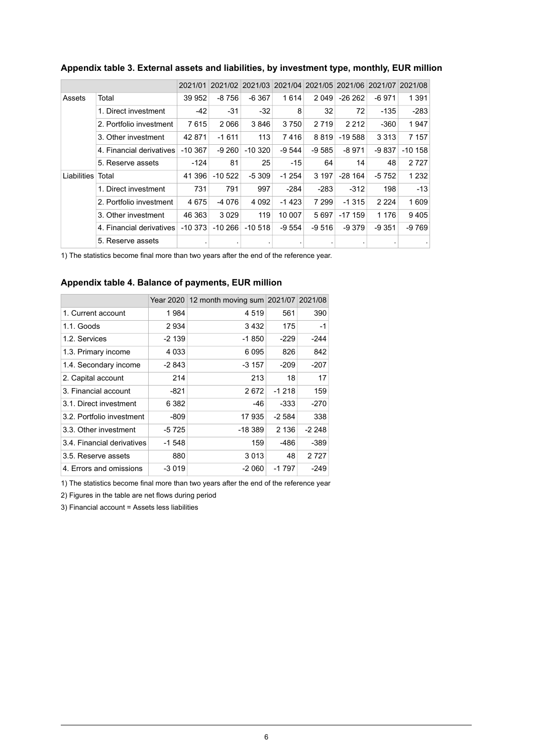|             |                          | 2021/01 | 2021/02   |           |         | 2021/03 2021/04 2021/05 | 2021/06 2021/07 |         | 2021/08   |
|-------------|--------------------------|---------|-----------|-----------|---------|-------------------------|-----------------|---------|-----------|
| Assets      | Total                    | 39 952  | $-8756$   | $-6367$   | 1614    | 2049                    | $-262$          | -6971   | 1 3 9 1   |
|             | 1. Direct investment     | $-42$   | -31       | $-32$     | 8       | 32                      | 72              | -135    | $-283$    |
|             | 2. Portfolio investment  | 7615    | 2066      | 3846      | 3750    | 2 7 1 9                 | 2 2 1 2         | $-360$  | 1947      |
|             | 3. Other investment      | 42 871  | $-1611$   | 113       | 7416    | 8819                    | -19 588         | 3 3 1 3 | 7 157     |
|             | 4. Financial derivatives | -10 367 | $-9260$   | $-10320$  | $-9544$ | $-9585$                 | $-8971$         | -9 837  | $-10$ 158 |
|             | 5. Reserve assets        | $-124$  | 81        | 25        | $-15$   | 64                      | 14              | 48      | 2 7 2 7   |
| Liabilities | Total                    | 41 396  | $-10522$  | $-5309$   | -1 254  | 3 1 9 7                 | $-28164$        | -5 752  | 1 2 3 2   |
|             | 1. Direct investment     | 731     | 791       | 997       | $-284$  | $-283$                  | $-312$          | 198     | $-13$     |
|             | 2. Portfolio investment  | 4675    | -4 076    | 4 0 9 2   | -1 423  | 7 2 9 9                 | -1 315          | 2 2 2 4 | 1 609     |
|             | 3. Other investment      | 46 363  | 3 0 2 9   | 119       | 10 007  | 5697                    | $-17.159$       | 1 1 7 6 | 9405      |
|             | 4. Financial derivatives | -10 373 | $-10,266$ | $-10.518$ | $-9554$ | -9 516                  | $-9.379$        | -9 351  | $-9769$   |
|             | 5. Reserve assets        |         |           |           |         |                         |                 |         |           |

#### <span id="page-5-0"></span>**Appendix table 3. External assets and liabilities, by investment type, monthly, EUR million**

<span id="page-5-1"></span>1) The statistics become final more than two years after the end of the reference year.

#### **Appendix table 4. Balance of payments, EUR million**

|                            |         | Year 2020   12 month moving sum 2021/07   2021/08 |         |         |
|----------------------------|---------|---------------------------------------------------|---------|---------|
| 1. Current account         | 1984    | 4519                                              | 561     | 390     |
| 1.1. Goods                 | 2934    | 3 4 3 2                                           | 175     | $-1$    |
| 1.2. Services              | $-2139$ | $-1850$                                           | -229    | $-244$  |
| 1.3. Primary income        | 4 0 3 3 | 6095                                              | 826     | 842     |
| 1.4. Secondary income      | -2 843  | -3 157                                            | -209    | -207    |
| 2. Capital account         | 214     | 213                                               | 18      | 17      |
| 3. Financial account       | -821    | 2672                                              | $-1218$ | 159     |
| 3.1. Direct investment     | 6 3 8 2 | -46                                               | -333    | $-270$  |
| 3.2. Portfolio investment  | -809    | 17935                                             | $-2584$ | 338     |
| 3.3. Other investment      | -5 725  | -18 389                                           | 2 1 3 6 | -2 248  |
| 3.4. Financial derivatives | -1 548  | 159                                               | $-486$  | $-389$  |
| 3.5. Reserve assets        | 880     | 3 0 1 3                                           | 48      | 2 7 2 7 |
| 4. Errors and omissions    | $-3019$ | -2 060                                            | $-1797$ | $-249$  |

1) The statistics become final more than two years after the end of the reference year

2) Figures in the table are net flows during period

3) Financial account = Assets less liabilities